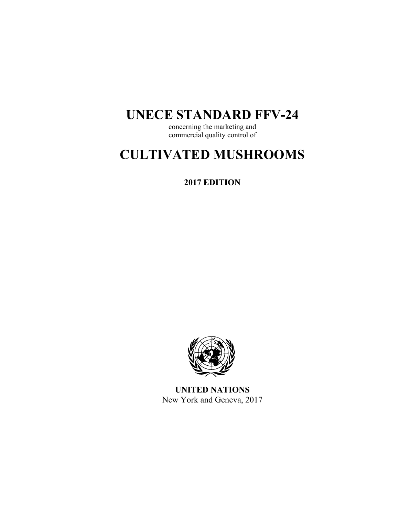## **UNECE STANDARD FFV-24**

concerning the marketing and commercial quality control of

# **CULTIVATED MUSHROOMS**

**2017 EDITION** 



**UNITED NATIONS**  New York and Geneva, 2017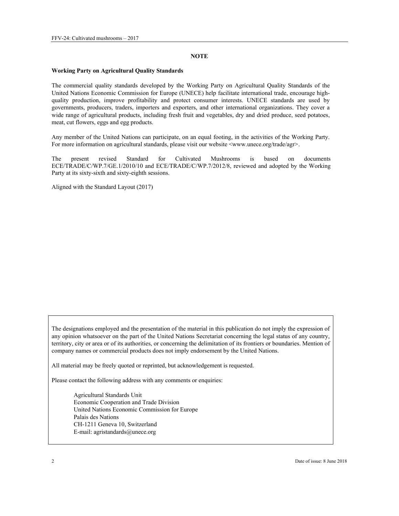#### **NOTE**

#### **Working Party on Agricultural Quality Standards**

The commercial quality standards developed by the Working Party on Agricultural Quality Standards of the United Nations Economic Commission for Europe (UNECE) help facilitate international trade, encourage highquality production, improve profitability and protect consumer interests. UNECE standards are used by governments, producers, traders, importers and exporters, and other international organizations. They cover a wide range of agricultural products, including fresh fruit and vegetables, dry and dried produce, seed potatoes, meat, cut flowers, eggs and egg products.

Any member of the United Nations can participate, on an equal footing, in the activities of the Working Party. For more information on agricultural standards, please visit our website <www.unece.org/trade/agr>.

The present revised Standard for Cultivated Mushrooms is based on documents ECE/TRADE/C/WP.7/GE.1/2010/10 and ECE/TRADE/C/WP.7/2012/8, reviewed and adopted by the Working Party at its sixty-sixth and sixty-eighth sessions.

Aligned with the Standard Layout (2017)

The designations employed and the presentation of the material in this publication do not imply the expression of any opinion whatsoever on the part of the United Nations Secretariat concerning the legal status of any country, territory, city or area or of its authorities, or concerning the delimitation of its frontiers or boundaries. Mention of company names or commercial products does not imply endorsement by the United Nations.

All material may be freely quoted or reprinted, but acknowledgement is requested.

Please contact the following address with any comments or enquiries:

Agricultural Standards Unit Economic Cooperation and Trade Division United Nations Economic Commission for Europe Palais des Nations CH-1211 Geneva 10, Switzerland E-mail: agristandards@unece.org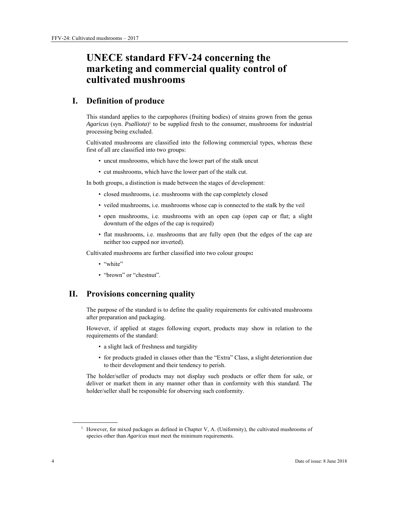## **UNECE standard FFV-24 concerning the marketing and commercial quality control of cultivated mushrooms**

## **I. Definition of produce**

This standard applies to the carpophores (fruiting bodies) of strains grown from the genus *Agaricus* (syn. *Psalliota*)1 to be supplied fresh to the consumer, mushrooms for industrial processing being excluded.

Cultivated mushrooms are classified into the following commercial types, whereas these first of all are classified into two groups:

- uncut mushrooms, which have the lower part of the stalk uncut
- cut mushrooms, which have the lower part of the stalk cut.

In both groups, a distinction is made between the stages of development:

- closed mushrooms, i.e. mushrooms with the cap completely closed
- veiled mushrooms, i.e. mushrooms whose cap is connected to the stalk by the veil
- open mushrooms, i.e. mushrooms with an open cap (open cap or flat; a slight downturn of the edges of the cap is required)
- flat mushrooms, i.e. mushrooms that are fully open (but the edges of the cap are neither too cupped nor inverted).

Cultivated mushrooms are further classified into two colour groups**:** 

- "white"
- "brown" or "chestnut".

## **II. Provisions concerning quality**

The purpose of the standard is to define the quality requirements for cultivated mushrooms after preparation and packaging.

However, if applied at stages following export, products may show in relation to the requirements of the standard:

- a slight lack of freshness and turgidity
- for products graded in classes other than the "Extra" Class, a slight deterioration due to their development and their tendency to perish.

The holder/seller of products may not display such products or offer them for sale, or deliver or market them in any manner other than in conformity with this standard. The holder/seller shall be responsible for observing such conformity.

 $\overline{a}$ 

<sup>&</sup>lt;sup>1</sup> However, for mixed packages as defined in Chapter V, A. (Uniformity), the cultivated mushrooms of species other than *Agaricus* must meet the minimum requirements.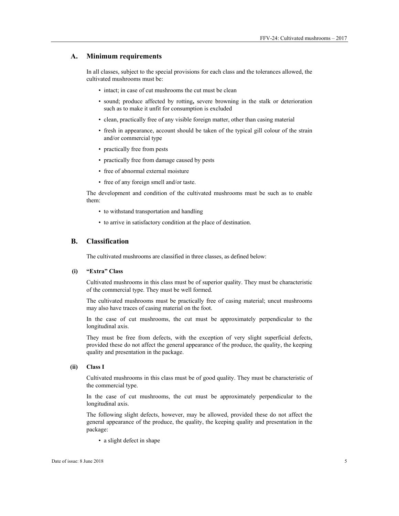#### **A. Minimum requirements**

In all classes, subject to the special provisions for each class and the tolerances allowed, the cultivated mushrooms must be:

- intact; in case of cut mushrooms the cut must be clean
- sound; produce affected by rotting**,** severe browning in the stalk or deterioration such as to make it unfit for consumption is excluded
- clean, practically free of any visible foreign matter, other than casing material
- fresh in appearance, account should be taken of the typical gill colour of the strain and/or commercial type
- practically free from pests
- practically free from damage caused by pests
- free of abnormal external moisture
- free of any foreign smell and/or taste.

The development and condition of the cultivated mushrooms must be such as to enable them:

- to withstand transportation and handling
- to arrive in satisfactory condition at the place of destination.

#### **B. Classification**

The cultivated mushrooms are classified in three classes, as defined below:

#### **(i) "Extra" Class**

Cultivated mushrooms in this class must be of superior quality. They must be characteristic of the commercial type. They must be well formed.

The cultivated mushrooms must be practically free of casing material; uncut mushrooms may also have traces of casing material on the foot.

In the case of cut mushrooms, the cut must be approximately perpendicular to the longitudinal axis.

They must be free from defects, with the exception of very slight superficial defects, provided these do not affect the general appearance of the produce, the quality, the keeping quality and presentation in the package.

#### **(ii) Class I**

Cultivated mushrooms in this class must be of good quality. They must be characteristic of the commercial type.

In the case of cut mushrooms, the cut must be approximately perpendicular to the longitudinal axis.

The following slight defects, however, may be allowed, provided these do not affect the general appearance of the produce, the quality, the keeping quality and presentation in the package:

• a slight defect in shape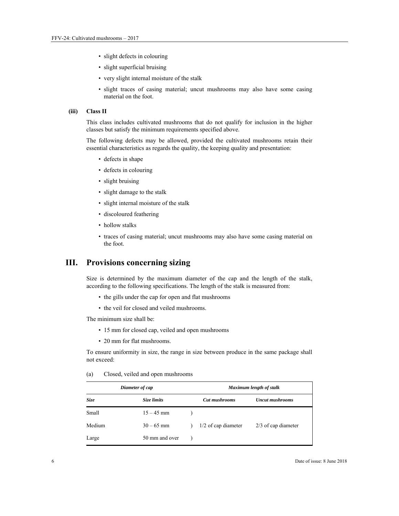- slight defects in colouring
- slight superficial bruising
- very slight internal moisture of the stalk
- slight traces of casing material; uncut mushrooms may also have some casing material on the foot.

#### **(iii) Class II**

This class includes cultivated mushrooms that do not qualify for inclusion in the higher classes but satisfy the minimum requirements specified above.

The following defects may be allowed, provided the cultivated mushrooms retain their essential characteristics as regards the quality, the keeping quality and presentation:

- defects in shape
- defects in colouring
- slight bruising
- slight damage to the stalk
- slight internal moisture of the stalk
- discoloured feathering
- hollow stalks
- traces of casing material; uncut mushrooms may also have some casing material on the foot.

## **III. Provisions concerning sizing**

Size is determined by the maximum diameter of the cap and the length of the stalk, according to the following specifications. The length of the stalk is measured from:

- the gills under the cap for open and flat mushrooms
- the veil for closed and veiled mushrooms.

The minimum size shall be:

- 15 mm for closed cap, veiled and open mushrooms
- 20 mm for flat mushrooms.

To ensure uniformity in size, the range in size between produce in the same package shall not exceed:

#### (a) Closed, veiled and open mushrooms

| Diameter of cap |                | Maximum length of stalk |                        |  |
|-----------------|----------------|-------------------------|------------------------|--|
| Size            | Size limits    | Cut mushrooms           | <b>Uncut mushrooms</b> |  |
| Small           | $15 - 45$ mm   |                         |                        |  |
| Medium          | $30 - 65$ mm   | $1/2$ of cap diameter   | $2/3$ of cap diameter  |  |
| Large           | 50 mm and over |                         |                        |  |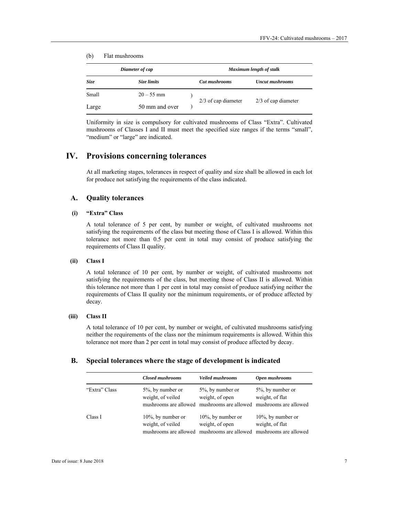#### (b) Flat mushrooms

| Diameter of cap |                | Maximum length of stalk |                       |                        |
|-----------------|----------------|-------------------------|-----------------------|------------------------|
| <b>Size</b>     | Size limits    |                         | <b>Cut mushrooms</b>  | <b>Uncut mushrooms</b> |
| Small           | $20 - 55$ mm   |                         | $2/3$ of cap diameter | $2/3$ of cap diameter  |
| Large           | 50 mm and over |                         |                       |                        |

Uniformity in size is compulsory for cultivated mushrooms of Class "Extra". Cultivated mushrooms of Classes I and II must meet the specified size ranges if the terms "small", "medium" or "large" are indicated.

## **IV. Provisions concerning tolerances**

At all marketing stages, tolerances in respect of quality and size shall be allowed in each lot for produce not satisfying the requirements of the class indicated.

#### **A. Quality tolerances**

#### **(i) "Extra" Class**

A total tolerance of 5 per cent, by number or weight, of cultivated mushrooms not satisfying the requirements of the class but meeting those of Class I is allowed. Within this tolerance not more than 0.5 per cent in total may consist of produce satisfying the requirements of Class II quality.

#### **(ii) Class I**

A total tolerance of 10 per cent, by number or weight, of cultivated mushrooms not satisfying the requirements of the class, but meeting those of Class II is allowed. Within this tolerance not more than 1 per cent in total may consist of produce satisfying neither the requirements of Class II quality nor the minimum requirements, or of produce affected by decay.

#### **(iii) Class II**

A total tolerance of 10 per cent, by number or weight, of cultivated mushrooms satisfying neither the requirements of the class nor the minimum requirements is allowed. Within this tolerance not more than 2 per cent in total may consist of produce affected by decay.

#### **B. Special tolerances where the stage of development is indicated**

|               | <b>Closed mushrooms</b>                                             | <b>Veiled mushrooms</b>                                                                                  | Open mushrooms                                                    |
|---------------|---------------------------------------------------------------------|----------------------------------------------------------------------------------------------------------|-------------------------------------------------------------------|
| "Extra" Class | $5\%$ , by number or<br>weight, of veiled                           | 5%, by number or<br>weight, of open<br>mushrooms are allowed mushrooms are allowed mushrooms are allowed | 5%, by number or<br>weight, of flat                               |
| Class I       | $10\%$ , by number or<br>weight, of veiled<br>mushrooms are allowed | $10\%$ , by number or<br>weight, of open<br>mushrooms are allowed                                        | $10\%$ , by number or<br>weight, of flat<br>mushrooms are allowed |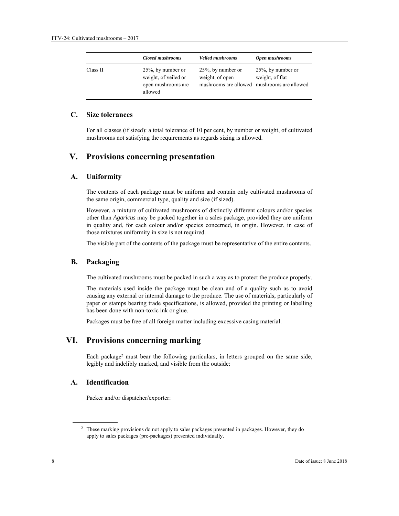|          | <b>Closed mushrooms</b>                                                    | <b>Veiled mushrooms</b>                  | Open mushrooms                                                                          |
|----------|----------------------------------------------------------------------------|------------------------------------------|-----------------------------------------------------------------------------------------|
| Class II | 25%, by number or<br>weight, of veiled or<br>open mushrooms are<br>allowed | $25\%$ , by number or<br>weight, of open | $25\%$ , by number or<br>weight, of flat<br>mushrooms are allowed mushrooms are allowed |

## **C. Size tolerances**

For all classes (if sized): a total tolerance of 10 per cent, by number or weight, of cultivated mushrooms not satisfying the requirements as regards sizing is allowed.

## **V. Provisions concerning presentation**

#### **A. Uniformity**

The contents of each package must be uniform and contain only cultivated mushrooms of the same origin, commercial type, quality and size (if sized).

However, a mixture of cultivated mushrooms of distinctly different colours and/or species other than *Agaricus* may be packed together in a sales package, provided they are uniform in quality and, for each colour and/or species concerned, in origin. However, in case of those mixtures uniformity in size is not required.

The visible part of the contents of the package must be representative of the entire contents.

#### **B. Packaging**

The cultivated mushrooms must be packed in such a way as to protect the produce properly.

The materials used inside the package must be clean and of a quality such as to avoid causing any external or internal damage to the produce. The use of materials, particularly of paper or stamps bearing trade specifications, is allowed, provided the printing or labelling has been done with non-toxic ink or glue.

Packages must be free of all foreign matter including excessive casing material.

## **VI. Provisions concerning marking**

Each package2 must bear the following particulars, in letters grouped on the same side, legibly and indelibly marked, and visible from the outside:

#### **A. Identification**

Packer and/or dispatcher/exporter:

 $\overline{a}$ 

<sup>&</sup>lt;sup>2</sup> These marking provisions do not apply to sales packages presented in packages. However, they do apply to sales packages (pre-packages) presented individually.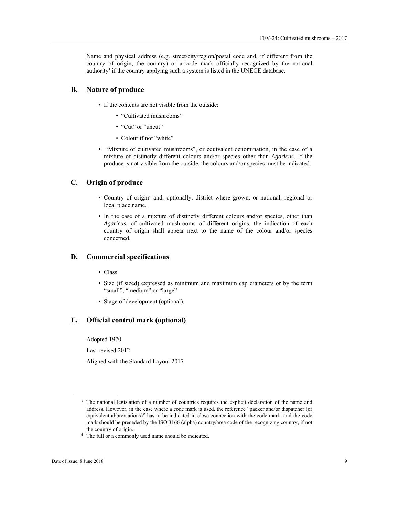Name and physical address (e.g. street/city/region/postal code and, if different from the country of origin, the country) or a code mark officially recognized by the national authority<sup>3</sup> if the country applying such a system is listed in the UNECE database.

#### **B. Nature of produce**

- If the contents are not visible from the outside:
	- "Cultivated mushrooms"
	- "Cut" or "uncut"
	- Colour if not "white"
- "Mixture of cultivated mushrooms", or equivalent denomination, in the case of a mixture of distinctly different colours and/or species other than *Agaricus*. If the produce is not visible from the outside, the colours and/or species must be indicated.

## **C. Origin of produce**

- Country of origin<sup>4</sup> and, optionally, district where grown, or national, regional or local place name.
- In the case of a mixture of distinctly different colours and/or species, other than *Agaricus*, of cultivated mushrooms of different origins, the indication of each country of origin shall appear next to the name of the colour and/or species concerned.

#### **D. Commercial specifications**

- Class
- Size (if sized) expressed as minimum and maximum cap diameters or by the term "small", "medium" or "large"
- Stage of development (optional).

#### **E. Official control mark (optional)**

Adopted 1970

Last revised 2012

Aligned with the Standard Layout 2017

 $\overline{a}$ 

<sup>&</sup>lt;sup>3</sup> The national legislation of a number of countries requires the explicit declaration of the name and address. However, in the case where a code mark is used, the reference "packer and/or dispatcher (or equivalent abbreviations)" has to be indicated in close connection with the code mark, and the code mark should be preceded by the ISO 3166 (alpha) country/area code of the recognizing country, if not the country of origin.<br><sup>4</sup> The full or a commonly used name should be indicated.